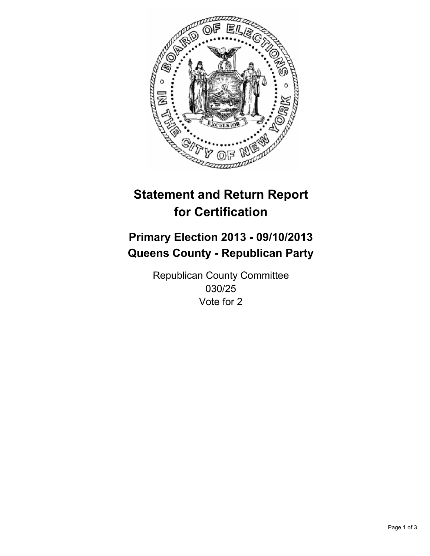

# **Statement and Return Report for Certification**

# **Primary Election 2013 - 09/10/2013 Queens County - Republican Party**

Republican County Committee 030/25 Vote for 2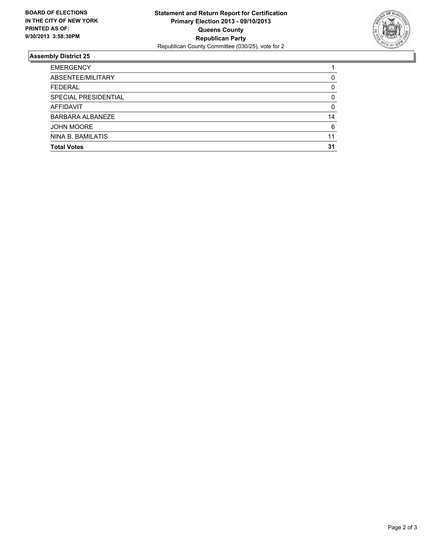

## **Assembly District 25**

| <b>EMERGENCY</b>     |    |
|----------------------|----|
| ABSENTEE/MILITARY    | 0  |
| <b>FEDERAL</b>       | 0  |
| SPECIAL PRESIDENTIAL | 0  |
| <b>AFFIDAVIT</b>     | 0  |
| BARBARA ALBANEZE     | 14 |
| <b>JOHN MOORE</b>    | 6  |
| NINA B. BAMILATIS    | 11 |
| <b>Total Votes</b>   | 31 |